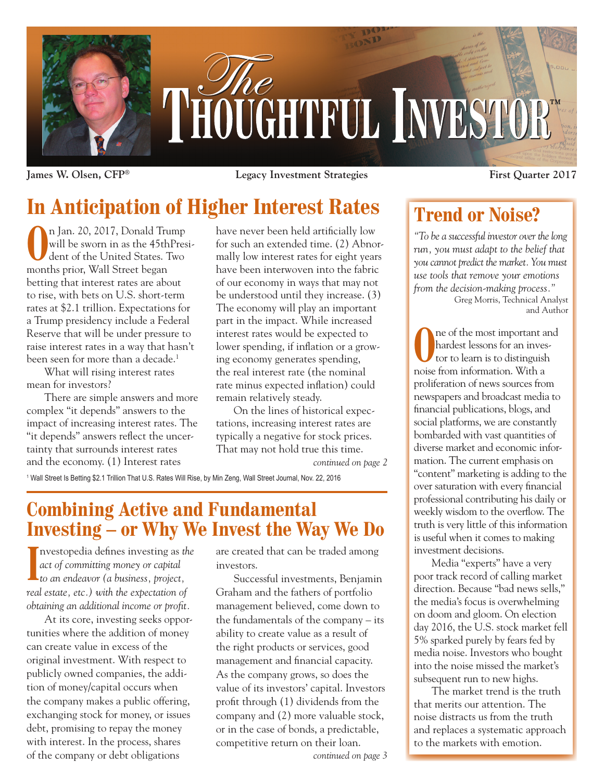

**James W. Olsen, CFP® Legacy Investment Strategies First Quarter 2017**

# **In Anticipation of Higher Interest Rates**

**O**n Jan. 20, 2017, Donald Trump<br>will be sworn in as the 45thPres<br>dent of the United States. Two will be sworn in as the 45thPresident of the United States. Two months prior, Wall Street began betting that interest rates are about to rise, with bets on U.S. short-term rates at \$2.1 trillion. Expectations for a Trump presidency include a Federal Reserve that will be under pressure to raise interest rates in a way that hasn't been seen for more than a decade.<sup>1</sup>

What will rising interest rates mean for investors?

There are simple answers and more complex "it depends" answers to the impact of increasing interest rates. The "it depends" answers reflect the uncertainty that surrounds interest rates and the economy. (1) Interest rates

have never been held artificially low for such an extended time. (2) Abnormally low interest rates for eight years have been interwoven into the fabric of our economy in ways that may not be understood until they increase. (3) The economy will play an important part in the impact. While increased interest rates would be expected to lower spending, if inflation or a growing economy generates spending, the real interest rate (the nominal rate minus expected inflation) could remain relatively steady.

On the lines of historical expectations, increasing interest rates are typically a negative for stock prices. That may not hold true this time.

*continued on page 2*

1 Wall Street Is Betting \$2.1 Trillion That U.S. Rates Will Rise, by Min Zeng, Wall Street Journal, Nov. 22, 2016

## **Combining Active and Fundamental Investing – or Why We Invest the Way We Do**

**I** nvestopedia defines investing as *the act of committing money or capital to an endeavor (a business, project, real estate, etc.) with the expectation of obtaining an additional income or profit.*

At its core, investing seeks opportunities where the addition of money can create value in excess of the original investment. With respect to publicly owned companies, the addition of money/capital occurs when the company makes a public offering, exchanging stock for money, or issues debt, promising to repay the money with interest. In the process, shares of the company or debt obligations

are created that can be traded among investors.

Successful investments, Benjamin Graham and the fathers of portfolio management believed, come down to the fundamentals of the company – its ability to create value as a result of the right products or services, good management and financial capacity. As the company grows, so does the value of its investors' capital. Investors profit through (1) dividends from the company and (2) more valuable stock, or in the case of bonds, a predictable, competitive return on their loan.

*continued on page 3*

## **Trend or Noise?**

*"To be a successful investor over the long run, you must adapt to the belief that you cannot predict the market. You must use tools that remove your emotions from the decision-making process."*

Greg Morris, Technical Analyst and Author

The of the most important and hardest lessons for an investor to learn is to distinguish hardest lessons for an investor to learn is to distinguish noise from information. With a proliferation of news sources from newspapers and broadcast media to financial publications, blogs, and social platforms, we are constantly bombarded with vast quantities of diverse market and economic information. The current emphasis on "content" marketing is adding to the over saturation with every financial professional contributing his daily or weekly wisdom to the overflow. The truth is very little of this information is useful when it comes to making investment decisions.

Media "experts" have a very poor track record of calling market direction. Because "bad news sells," the media's focus is overwhelming on doom and gloom. On election day 2016, the U.S. stock market fell 5% sparked purely by fears fed by media noise. Investors who bought into the noise missed the market's subsequent run to new highs.

The market trend is the truth that merits our attention. The noise distracts us from the truth and replaces a systematic approach to the markets with emotion.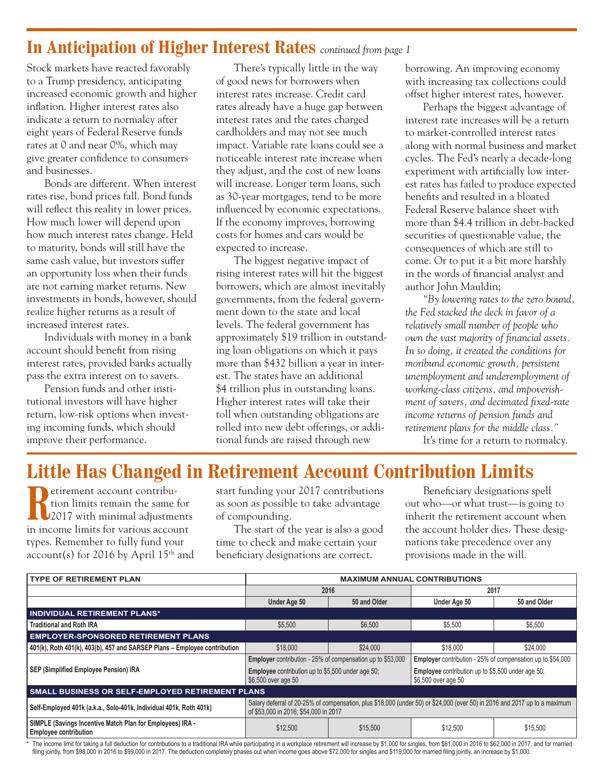### **In Anticipation of Higher Interest Rates** *continued from page 1*

Stock markets have reacted favorably to a Trump presidency, anticipating increased economic growth and higher inflation. Higher interest rates also indicate a return to normalcy after eight years of Federal Reserve funds rates at 0 and near 0%, which may give greater confidence to consumers and businesses.

Bonds are different. When interest rates rise, bond prices fall. Bond funds will reflect this reality in lower prices. How much lower will depend upon how much interest rates change. Held to maturity, bonds will still have the same cash value, but investors suffer an opportunity loss when their funds are not earning market returns. New investments in bonds, however, should realize higher returns as a result of increased interest rates.

Individuals with money in a bank account should benefit from rising interest rates, provided banks actually pass the extra interest on to savers.

Pension funds and other institutional investors will have higher return, low-risk options when investing incoming funds, which should improve their performance.

There's typically little in the way of good news for borrowers when interest rates increase. Credit card rates already have a huge gap between interest rates and the rates charged cardholders and may not see much impact. Variable rate loans could see a noticeable interest rate increase when they adjust, and the cost of new loans will increase. Longer term loans, such as 30-year mortgages, tend to be more influenced by economic expectations. If the economy improves, borrowing costs for homes and cars would be expected to increase.

The biggest negative impact of rising interest rates will hit the biggest borrowers, which are almost inevitably governments, from the federal government down to the state and local levels. The federal government has approximately \$19 trillion in outstanding loan obligations on which it pays more than \$432 billion a year in interest. The states have an additional \$4 trillion plus in outstanding loans. Higher interest rates will take their toll when outstanding obligations are rolled into new debt offerings, or additional funds are raised through new

borrowing. An improving economy with increasing tax collections could offset higher interest rates, however.

Perhaps the biggest advantage of interest rate increases will be a return to market-controlled interest rates along with normal business and market cycles. The Fed's nearly a decade-long experiment with artificially low interest rates has failed to produce expected benefits and resulted in a bloated Federal Reserve balance sheet with more than \$4.4 trillion in debt-backed securities of questionable value, the consequences of which are still to come. Or to put it a bit more harshly in the words of financial analyst and author John Mauldin;

*"By lowering rates to the zero bound, the Fed stacked the deck in favor of a relatively small number of people who own the vast majority of financial assets. In so doing, it created the conditions for moribund economic growth, persistent unemployment and underemployment of working-class citizens, and impoverishment of savers, and decimated fixed-rate income returns of pension funds and retirement plans for the middle class."*

It's time for a return to normalcy.

## **Little Has Changed in Retirement Account Contribution Limits**

**Retirement account contribu-<br>tion limits remain the same<br>2017 with minimal adjustme** tion limits remain the same for 2017 with minimal adjustments in income limits for various account types. Remember to fully fund your account(s) for 2016 by April  $15<sup>th</sup>$  and

start funding your 2017 contributions as soon as possible to take advantage of compounding.

The start of the year is also a good time to check and make certain your beneficiary designations are correct.

Beneficiary designations spell out who—or what trust—is going to inherit the retirement account when the account holder dies. These designations take precedence over any provisions made in the will.

| <b>TYPE OF RETIREMENT PLAN</b>                                                            | <b>MAXIMUM ANNUAL CONTRIBUTIONS</b>                                                                                                                                 |              |                                                                                 |              |
|-------------------------------------------------------------------------------------------|---------------------------------------------------------------------------------------------------------------------------------------------------------------------|--------------|---------------------------------------------------------------------------------|--------------|
|                                                                                           | 2016                                                                                                                                                                |              | 2017                                                                            |              |
|                                                                                           | Under Age 50                                                                                                                                                        | 50 and Older | Under Age 50                                                                    | 50 and Older |
| <b>INDIVIDUAL RETIREMENT PLANS*</b>                                                       |                                                                                                                                                                     |              |                                                                                 |              |
| <b>Traditional and Roth IRA</b>                                                           | \$5,500                                                                                                                                                             | \$6,500      | \$5,500                                                                         | \$6,500      |
| <b>EMPLOYER-SPONSORED RETIREMENT PLANS</b>                                                |                                                                                                                                                                     |              |                                                                                 |              |
| 401(k), Roth 401(k), 403(b), 457 and SARSEP Plans - Employee contribution                 | \$18,000                                                                                                                                                            | \$24,000     | \$18,000                                                                        | \$24,000     |
| SEP (Simplified Employee Pension) IRA                                                     | <b>Employer</b> contribution - 25% of compensation up to \$53,000                                                                                                   |              | <b>Employer</b> contribution - 25% of compensation up to \$54,000               |              |
|                                                                                           | <b>Employee</b> contribution up to \$5,500 under age 50;<br>\$6,500 over age 50                                                                                     |              | <b>Employee</b> contribution up to \$5,500 under age 50;<br>\$6,500 over age 50 |              |
| <b>SMALL BUSINESS OR SELF-EMPLOYED RETIREMENT PLANS</b>                                   |                                                                                                                                                                     |              |                                                                                 |              |
| Self-Employed 401k (a.k.a., Solo-401k, Individual 401k, Roth 401k)                        | Salary deferral of 20-25% of compensation, plus \$18,000 (under 50) or \$24,000 (over 50) in 2016 and 2017 up to a maximum<br>of \$53,000 in 2016; \$54,000 in 2017 |              |                                                                                 |              |
| SIMPLE (Savings Incentive Match Plan for Employees) IRA -<br><b>Employee contribution</b> | \$12,500                                                                                                                                                            | \$15,500     | \$12,500                                                                        | \$15,500     |

\* The income limit for taking a full deduction for contributions to a traditional IRA while participating in a workplace retirement will increase by \$1,000 for singles, from \$61,000 in 2016 to \$62,000 in 2017, and for marr filing jointly, from \$98,000 in 2016 to \$99,000 in 2017. The deduction completely phases out when income goes above \$72,000 for singles and \$119,000 for married filing jointly, an increase by \$1,000.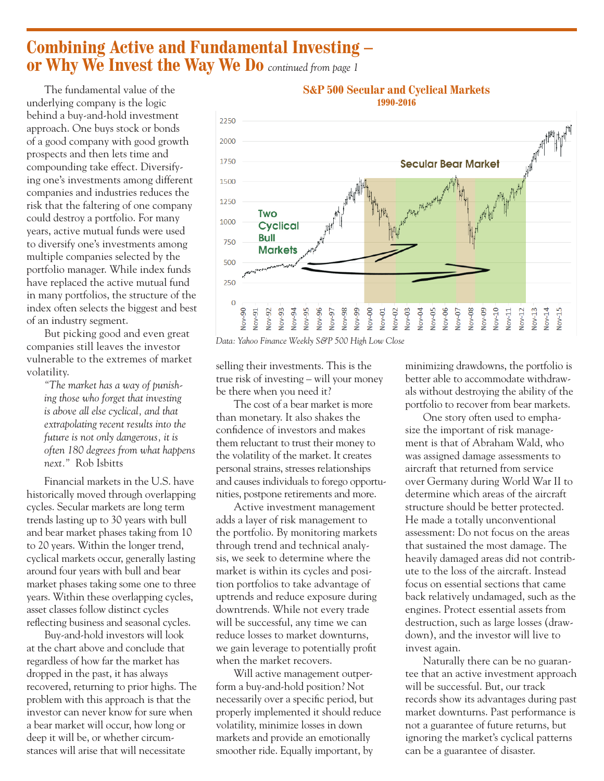### **Combining Active and Fundamental Investing – or Why We Invest the Way We Do** *continued from page 1*

The fundamental value of the underlying company is the logic behind a buy-and-hold investment approach. One buys stock or bonds of a good company with good growth prospects and then lets time and compounding take effect. Diversifying one's investments among different companies and industries reduces the risk that the faltering of one company could destroy a portfolio. For many years, active mutual funds were used to diversify one's investments among multiple companies selected by the portfolio manager. While index funds have replaced the active mutual fund in many portfolios, the structure of the index often selects the biggest and best of an industry segment.

But picking good and even great companies still leaves the investor vulnerable to the extremes of market volatility.

*"The market has a way of punishing those who forget that investing is above all else cyclical, and that extrapolating recent results into the future is not only dangerous, it is often 180 degrees from what happens next."* Rob Isbitts

Financial markets in the U.S. have historically moved through overlapping cycles. Secular markets are long term trends lasting up to 30 years with bull and bear market phases taking from 10 to 20 years. Within the longer trend, cyclical markets occur, generally lasting around four years with bull and bear market phases taking some one to three years. Within these overlapping cycles, asset classes follow distinct cycles reflecting business and seasonal cycles.

Buy-and-hold investors will look at the chart above and conclude that regardless of how far the market has dropped in the past, it has always recovered, returning to prior highs. The problem with this approach is that the investor can never know for sure when a bear market will occur, how long or deep it will be, or whether circumstances will arise that will necessitate



#### **S&P 500 Secular and Cyclical Markets 1990-2016**

*Data: Yahoo Finance Weekly S&P 500 High Low Close*

selling their investments. This is the true risk of investing – will your money be there when you need it?

The cost of a bear market is more than monetary. It also shakes the confidence of investors and makes them reluctant to trust their money to the volatility of the market. It creates personal strains, stresses relationships and causes individuals to forego opportunities, postpone retirements and more.

Active investment management adds a layer of risk management to the portfolio. By monitoring markets through trend and technical analysis, we seek to determine where the market is within its cycles and position portfolios to take advantage of uptrends and reduce exposure during downtrends. While not every trade will be successful, any time we can reduce losses to market downturns, we gain leverage to potentially profit when the market recovers.

Will active management outperform a buy-and-hold position? Not necessarily over a specific period, but properly implemented it should reduce volatility, minimize losses in down markets and provide an emotionally smoother ride. Equally important, by

minimizing drawdowns, the portfolio is better able to accommodate withdrawals without destroying the ability of the portfolio to recover from bear markets.

One story often used to emphasize the important of risk management is that of Abraham Wald, who was assigned damage assessments to aircraft that returned from service over Germany during World War II to determine which areas of the aircraft structure should be better protected. He made a totally unconventional assessment: Do not focus on the areas that sustained the most damage. The heavily damaged areas did not contribute to the loss of the aircraft. Instead focus on essential sections that came back relatively undamaged, such as the engines. Protect essential assets from destruction, such as large losses (drawdown), and the investor will live to invest again.

Naturally there can be no guarantee that an active investment approach will be successful. But, our track records show its advantages during past market downturns. Past performance is not a guarantee of future returns, but ignoring the market's cyclical patterns can be a guarantee of disaster.